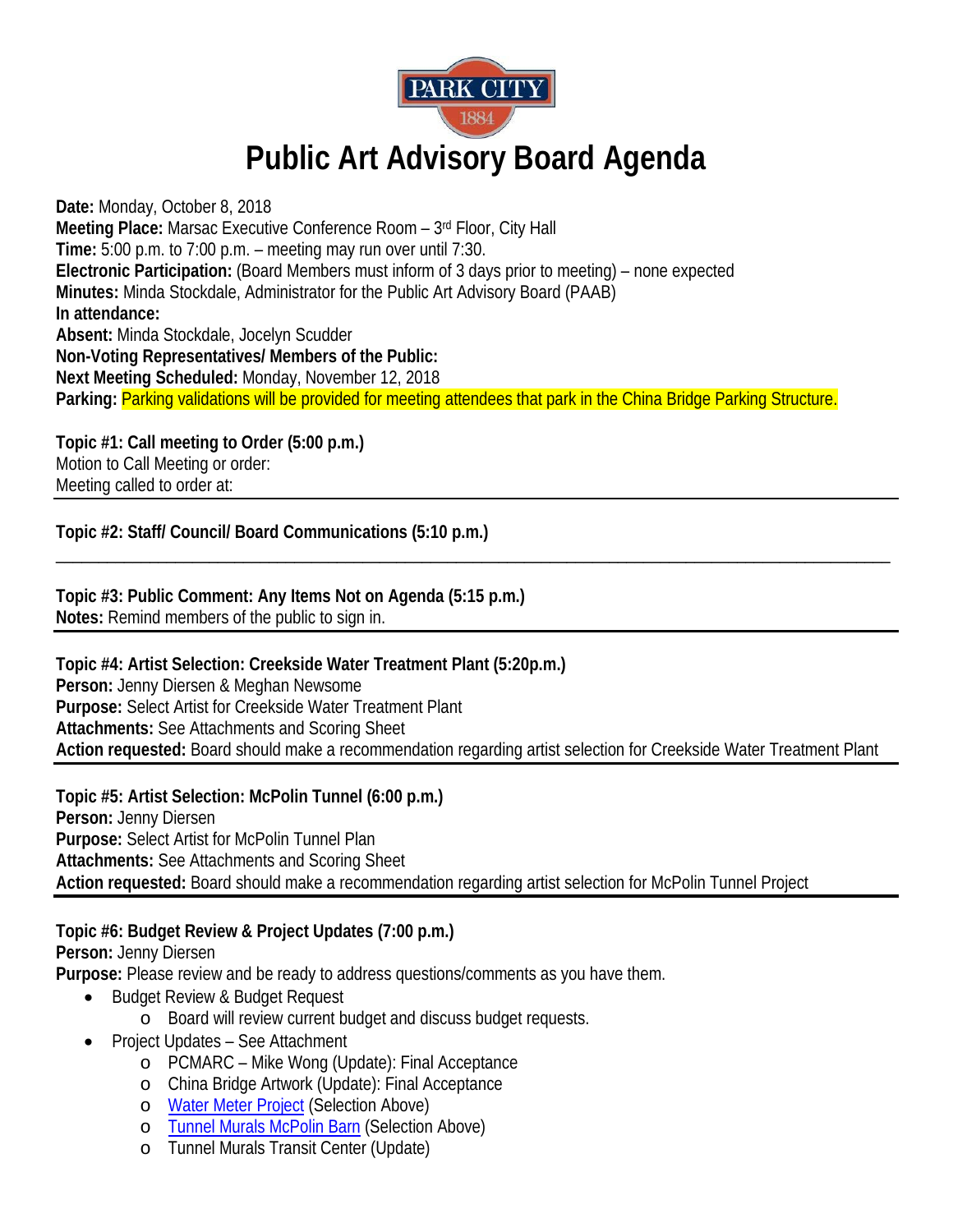

## **Public Art Advisory Board Agenda**

**Date:** Monday, October 8, 2018 **Meeting Place:** Marsac Executive Conference Room – 3rd Floor, City Hall **Time:** 5:00 p.m. to 7:00 p.m. – meeting may run over until 7:30. **Electronic Participation:** (Board Members must inform of 3 days prior to meeting) – none expected **Minutes:** Minda Stockdale, Administrator for the Public Art Advisory Board (PAAB) **In attendance: Absent:** Minda Stockdale, Jocelyn Scudder **Non-Voting Representatives/ Members of the Public: Next Meeting Scheduled:** Monday, November 12, 2018 **Parking:** Parking validations will be provided for meeting attendees that park in the China Bridge Parking Structure.

**Topic #1: Call meeting to Order (5:00 p.m.)** Motion to Call Meeting or order: Meeting called to order at:

**Topic #2: Staff/ Council/ Board Communications (5:10 p.m.)**

**Topic #3: Public Comment: Any Items Not on Agenda (5:15 p.m.) Notes:** Remind members of the public to sign in.

**Topic #4: Artist Selection: Creekside Water Treatment Plant (5:20p.m.) Person:** Jenny Diersen & Meghan Newsome **Purpose:** Select Artist for Creekside Water Treatment Plant **Attachments:** See Attachments and Scoring Sheet **Action requested:** Board should make a recommendation regarding artist selection for Creekside Water Treatment Plant

\_\_\_\_\_\_\_\_\_\_\_\_\_\_\_\_\_\_\_\_\_\_\_\_\_\_\_\_\_\_\_\_\_\_\_\_\_\_\_\_\_\_\_\_\_\_\_\_\_\_\_\_\_\_\_\_\_\_\_\_\_\_\_\_\_\_\_\_\_\_\_\_\_\_\_\_\_\_\_\_\_\_\_\_\_\_\_\_\_\_\_\_\_\_\_\_\_\_

**Topic #5: Artist Selection: McPolin Tunnel (6:00 p.m.) Person:** Jenny Diersen **Purpose:** Select Artist for McPolin Tunnel Plan **Attachments:** See Attachments and Scoring Sheet **Action requested:** Board should make a recommendation regarding artist selection for McPolin Tunnel Project

**Topic #6: Budget Review & Project Updates (7:00 p.m.)** 

**Person:** Jenny Diersen

**Purpose:** Please review and be ready to address questions/comments as you have them.

- Budget Review & Budget Request
	- o Board will review current budget and discuss budget requests.
- Project Updates See Attachment
	- o PCMARC Mike Wong (Update): Final Acceptance
	- o China Bridge Artwork (Update): Final Acceptance
	- o [Water Meter Project](http://www.parkcity.org/Home/Components/RFP/RFP/11240/2339) (Selection Above)
	- o [Tunnel Murals McPolin Barn](http://www.parkcity.org/Home/Components/RFP/RFP/11242/2339) (Selection Above)
	- o Tunnel Murals Transit Center (Update)